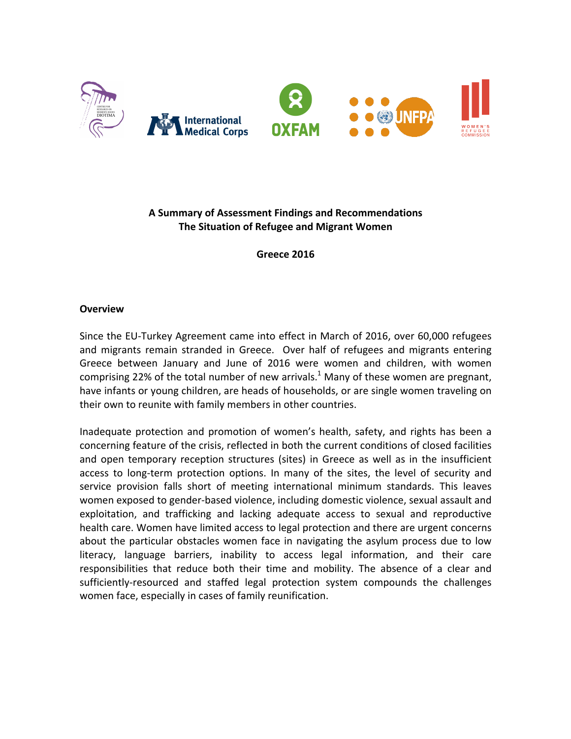

# **A Summary of Assessment Findings and Recommendations The Situation of Refugee and Migrant Women**

**Greece 2016**

### **Overview**

Since the EU-Turkey Agreement came into effect in March of 2016, over 60,000 refugees and migrants remain stranded in Greece. Over half of refugees and migrants entering Greece between January and June of 2016 were women and children, with women comprising 22% of the total number of new arrivals.<sup>1</sup> Many of these women are pregnant, have infants or young children, are heads of households, or are single women traveling on their own to reunite with family members in other countries.

Inadequate protection and promotion of women's health, safety, and rights has been a concerning feature of the crisis, reflected in both the current conditions of closed facilities and open temporary reception structures (sites) in Greece as well as in the insufficient access to long-term protection options. In many of the sites, the level of security and service provision falls short of meeting international minimum standards. This leaves women exposed to gender-based violence, including domestic violence, sexual assault and exploitation, and trafficking and lacking adequate access to sexual and reproductive health care. Women have limited access to legal protection and there are urgent concerns about the particular obstacles women face in navigating the asylum process due to low literacy, language barriers, inability to access legal information, and their care responsibilities that reduce both their time and mobility. The absence of a clear and sufficiently-resourced and staffed legal protection system compounds the challenges women face, especially in cases of family reunification.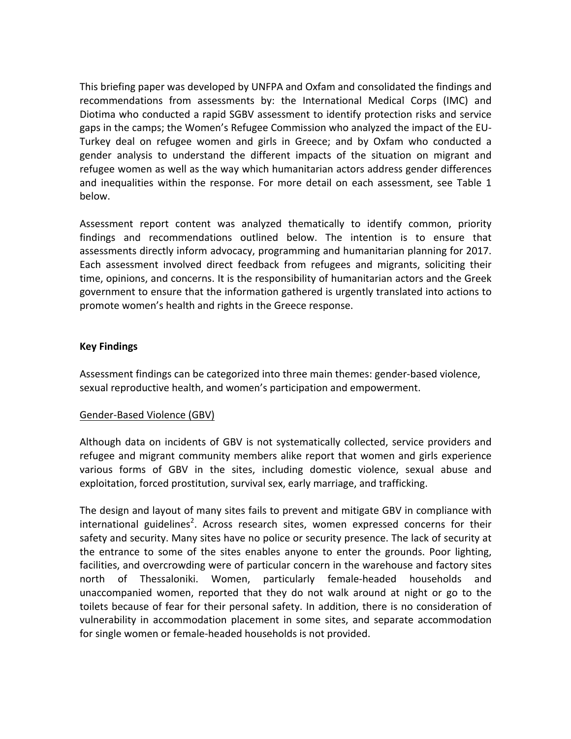This briefing paper was developed by UNFPA and Oxfam and consolidated the findings and recommendations from assessments by: the International Medical Corps (IMC) and Diotima who conducted a rapid SGBV assessment to identify protection risks and service gaps in the camps; the Women's Refugee Commission who analyzed the impact of the EU-Turkey deal on refugee women and girls in Greece; and by Oxfam who conducted a gender analysis to understand the different impacts of the situation on migrant and refugee women as well as the way which humanitarian actors address gender differences and inequalities within the response. For more detail on each assessment, see Table 1 below.

Assessment report content was analyzed thematically to identify common, priority findings and recommendations outlined below. The intention is to ensure that assessments directly inform advocacy, programming and humanitarian planning for 2017. Each assessment involved direct feedback from refugees and migrants, soliciting their time, opinions, and concerns. It is the responsibility of humanitarian actors and the Greek government to ensure that the information gathered is urgently translated into actions to promote women's health and rights in the Greece response.

### **Key Findings**

Assessment findings can be categorized into three main themes: gender-based violence, sexual reproductive health, and women's participation and empowerment.

# Gender-Based Violence (GBV)

Although data on incidents of GBV is not systematically collected, service providers and refugee and migrant community members alike report that women and girls experience various forms of GBV in the sites, including domestic violence, sexual abuse and exploitation, forced prostitution, survival sex, early marriage, and trafficking.

The design and layout of many sites fails to prevent and mitigate GBV in compliance with international guidelines<sup>2</sup>. Across research sites, women expressed concerns for their safety and security. Many sites have no police or security presence. The lack of security at the entrance to some of the sites enables anyone to enter the grounds. Poor lighting, facilities, and overcrowding were of particular concern in the warehouse and factory sites north of Thessaloniki. Women, particularly female-headed households and unaccompanied women, reported that they do not walk around at night or go to the toilets because of fear for their personal safety. In addition, there is no consideration of vulnerability in accommodation placement in some sites, and separate accommodation for single women or female-headed households is not provided.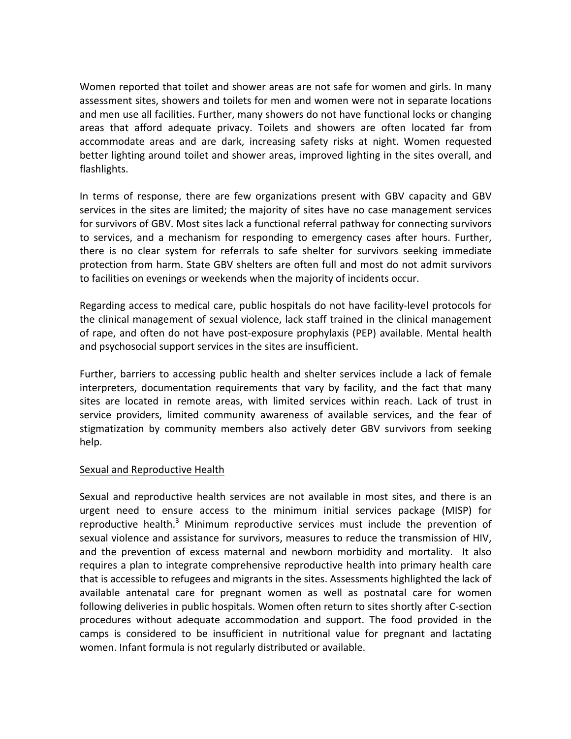Women reported that toilet and shower areas are not safe for women and girls. In many assessment sites, showers and toilets for men and women were not in separate locations and men use all facilities. Further, many showers do not have functional locks or changing areas that afford adequate privacy. Toilets and showers are often located far from accommodate areas and are dark, increasing safety risks at night. Women requested better lighting around toilet and shower areas, improved lighting in the sites overall, and flashlights. 

In terms of response, there are few organizations present with GBV capacity and GBV services in the sites are limited; the majority of sites have no case management services for survivors of GBV. Most sites lack a functional referral pathway for connecting survivors to services, and a mechanism for responding to emergency cases after hours. Further, there is no clear system for referrals to safe shelter for survivors seeking immediate protection from harm. State GBV shelters are often full and most do not admit survivors to facilities on evenings or weekends when the majority of incidents occur.

Regarding access to medical care, public hospitals do not have facility-level protocols for the clinical management of sexual violence, lack staff trained in the clinical management of rape, and often do not have post-exposure prophylaxis (PEP) available. Mental health and psychosocial support services in the sites are insufficient.

Further, barriers to accessing public health and shelter services include a lack of female interpreters, documentation requirements that vary by facility, and the fact that many sites are located in remote areas, with limited services within reach. Lack of trust in service providers, limited community awareness of available services, and the fear of stigmatization by community members also actively deter GBV survivors from seeking help.

### Sexual and Reproductive Health

Sexual and reproductive health services are not available in most sites, and there is an urgent need to ensure access to the minimum initial services package (MISP) for reproductive health. $3$  Minimum reproductive services must include the prevention of sexual violence and assistance for survivors, measures to reduce the transmission of HIV, and the prevention of excess maternal and newborn morbidity and mortality. It also requires a plan to integrate comprehensive reproductive health into primary health care that is accessible to refugees and migrants in the sites. Assessments highlighted the lack of available antenatal care for pregnant women as well as postnatal care for women following deliveries in public hospitals. Women often return to sites shortly after C-section procedures without adequate accommodation and support. The food provided in the camps is considered to be insufficient in nutritional value for pregnant and lactating women. Infant formula is not regularly distributed or available.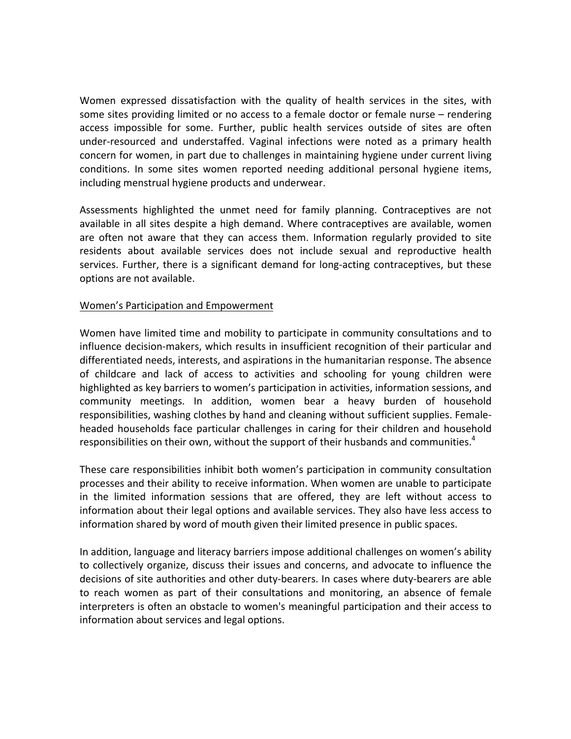Women expressed dissatisfaction with the quality of health services in the sites, with some sites providing limited or no access to a female doctor or female nurse  $-$  rendering access impossible for some. Further, public health services outside of sites are often under-resourced and understaffed. Vaginal infections were noted as a primary health concern for women, in part due to challenges in maintaining hygiene under current living conditions. In some sites women reported needing additional personal hygiene items, including menstrual hygiene products and underwear.

Assessments highlighted the unmet need for family planning. Contraceptives are not available in all sites despite a high demand. Where contraceptives are available, women are often not aware that they can access them. Information regularly provided to site residents about available services does not include sexual and reproductive health services. Further, there is a significant demand for long-acting contraceptives, but these options are not available.

### Women's Participation and Empowerment

Women have limited time and mobility to participate in community consultations and to influence decision-makers, which results in insufficient recognition of their particular and differentiated needs, interests, and aspirations in the humanitarian response. The absence of childcare and lack of access to activities and schooling for young children were highlighted as key barriers to women's participation in activities, information sessions, and community meetings. In addition, women bear a heavy burden of household responsibilities, washing clothes by hand and cleaning without sufficient supplies. Femaleheaded households face particular challenges in caring for their children and household responsibilities on their own, without the support of their husbands and communities.<sup>4</sup>

These care responsibilities inhibit both women's participation in community consultation processes and their ability to receive information. When women are unable to participate in the limited information sessions that are offered, they are left without access to information about their legal options and available services. They also have less access to information shared by word of mouth given their limited presence in public spaces.

In addition, language and literacy barriers impose additional challenges on women's ability to collectively organize, discuss their issues and concerns, and advocate to influence the decisions of site authorities and other duty-bearers. In cases where duty-bearers are able to reach women as part of their consultations and monitoring, an absence of female interpreters is often an obstacle to women's meaningful participation and their access to information about services and legal options.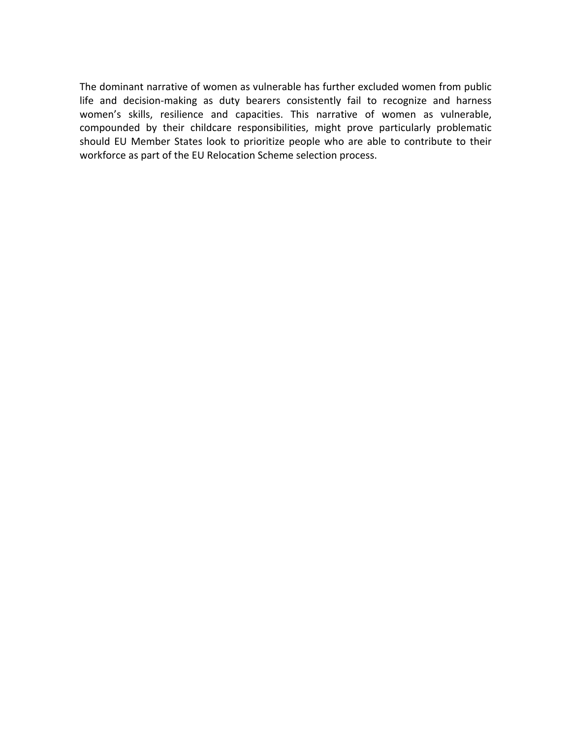The dominant narrative of women as vulnerable has further excluded women from public life and decision-making as duty bearers consistently fail to recognize and harness women's skills, resilience and capacities. This narrative of women as vulnerable, compounded by their childcare responsibilities, might prove particularly problematic should EU Member States look to prioritize people who are able to contribute to their workforce as part of the EU Relocation Scheme selection process.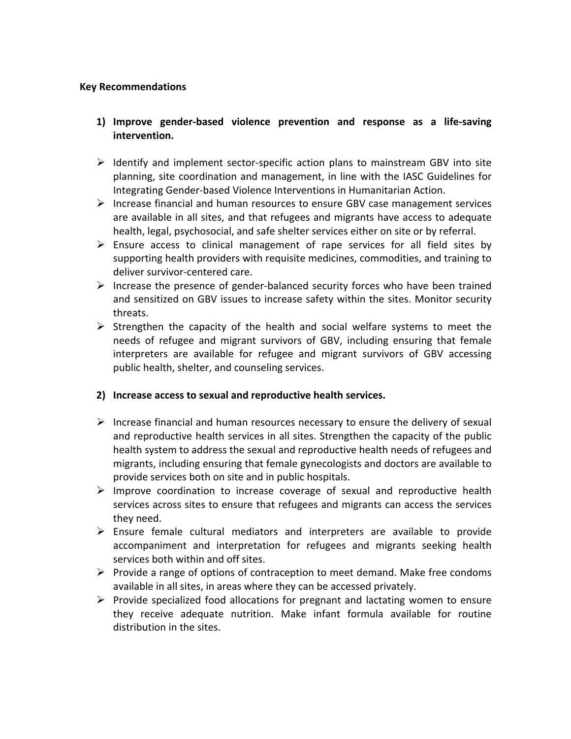### **Key Recommendations**

- **1) Improve gender-based violence prevention and response as a life-saving intervention.**
- $\triangleright$  Identify and implement sector-specific action plans to mainstream GBV into site planning, site coordination and management, in line with the IASC Guidelines for Integrating Gender-based Violence Interventions in Humanitarian Action.
- $\triangleright$  Increase financial and human resources to ensure GBV case management services are available in all sites, and that refugees and migrants have access to adequate health, legal, psychosocial, and safe shelter services either on site or by referral.
- $\triangleright$  Ensure access to clinical management of rape services for all field sites by supporting health providers with requisite medicines, commodities, and training to deliver survivor-centered care.
- $\triangleright$  Increase the presence of gender-balanced security forces who have been trained and sensitized on GBV issues to increase safety within the sites. Monitor security threats.
- $\triangleright$  Strengthen the capacity of the health and social welfare systems to meet the needs of refugee and migrant survivors of GBV, including ensuring that female interpreters are available for refugee and migrant survivors of GBV accessing public health, shelter, and counseling services.

# 2) Increase access to sexual and reproductive health services.

- $\triangleright$  Increase financial and human resources necessary to ensure the delivery of sexual and reproductive health services in all sites. Strengthen the capacity of the public health system to address the sexual and reproductive health needs of refugees and migrants, including ensuring that female gynecologists and doctors are available to provide services both on site and in public hospitals.
- $\triangleright$  Improve coordination to increase coverage of sexual and reproductive health services across sites to ensure that refugees and migrants can access the services they need.
- $\triangleright$  Ensure female cultural mediators and interpreters are available to provide accompaniment and interpretation for refugees and migrants seeking health services both within and off sites.
- $\triangleright$  Provide a range of options of contraception to meet demand. Make free condoms available in all sites, in areas where they can be accessed privately.
- $\triangleright$  Provide specialized food allocations for pregnant and lactating women to ensure they receive adequate nutrition. Make infant formula available for routine distribution in the sites.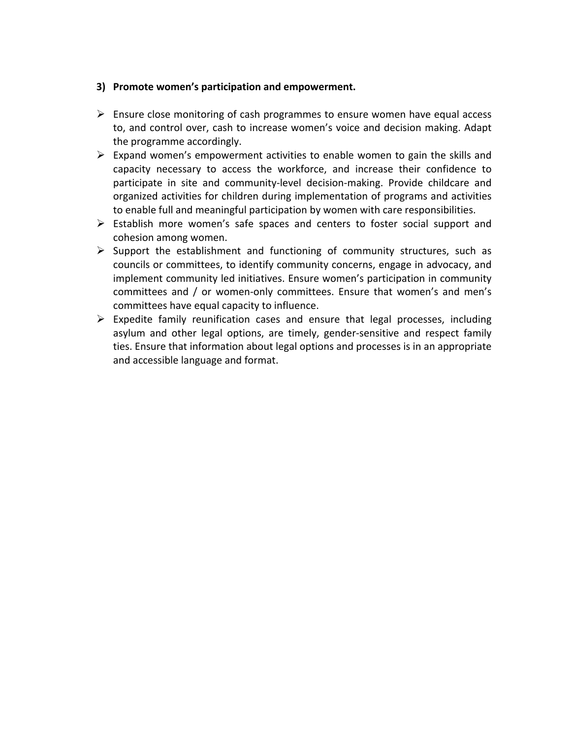### **3)** Promote women's participation and empowerment.

- $\triangleright$  Ensure close monitoring of cash programmes to ensure women have equal access to, and control over, cash to increase women's voice and decision making. Adapt the programme accordingly.
- $\triangleright$  Expand women's empowerment activities to enable women to gain the skills and capacity necessary to access the workforce, and increase their confidence to participate in site and community-level decision-making. Provide childcare and organized activities for children during implementation of programs and activities to enable full and meaningful participation by women with care responsibilities.
- $\triangleright$  Establish more women's safe spaces and centers to foster social support and cohesion among women.
- $\triangleright$  Support the establishment and functioning of community structures, such as councils or committees, to identify community concerns, engage in advocacy, and implement community led initiatives. Ensure women's participation in community committees and / or women-only committees. Ensure that women's and men's committees have equal capacity to influence.
- $\triangleright$  Expedite family reunification cases and ensure that legal processes, including asylum and other legal options, are timely, gender-sensitive and respect family ties. Ensure that information about legal options and processes is in an appropriate and accessible language and format.